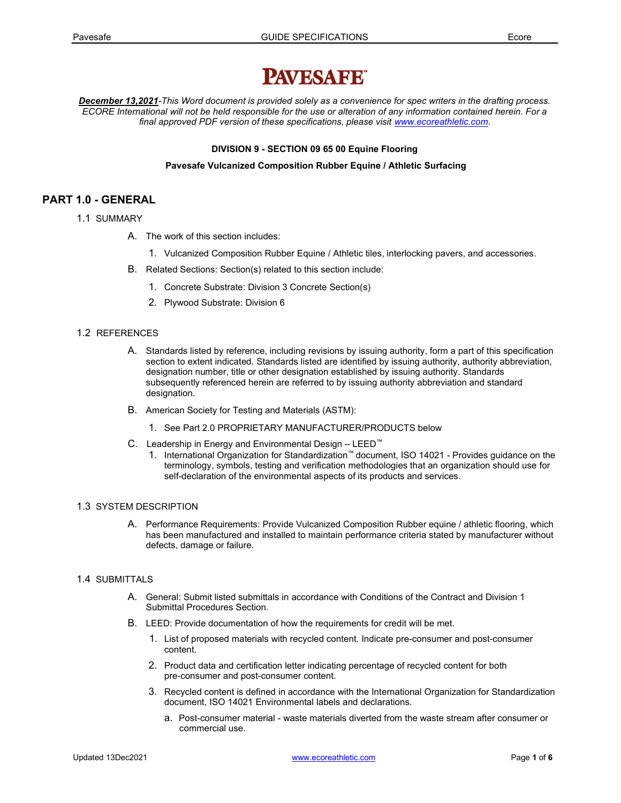# **PAVESAFE**

December 13,2021-This Word document is provided solely as a convenience for spec writers in the drafting process. ECORE International will not be held responsible for the use or alteration of any information contained herein. For a final approved PDF version of these specifications, please visit www.ecoreathletic.com.

## DIVISION 9 - SECTION 09 65 00 Equine Flooring

## Pavesafe Vulcanized Composition Rubber Equine / Athletic Surfacing

# PART 1.0 - GENERAL

- 1.1 SUMMARY
	- A. The work of this section includes:
		- 1. Vulcanized Composition Rubber Equine / Athletic tiles, interlocking pavers, and accessories.
	- B. Related Sections: Section(s) related to this section include:
		- 1. Concrete Substrate: Division 3 Concrete Section(s)
		- 2. Plywood Substrate: Division 6

#### 1.2 REFERENCES

- A. Standards listed by reference, including revisions by issuing authority, form a part of this specification section to extent indicated. Standards listed are identified by issuing authority, authority abbreviation, designation number, title or other designation established by issuing authority. Standards subsequently referenced herein are referred to by issuing authority abbreviation and standard designation.
- B. American Society for Testing and Materials (ASTM):
	- 1. See Part 2.0 PROPRIETARY MANUFACTURER/PRODUCTS below
- C. Leadership in Energy and Environmental Design LEED™
	- 1. International Organization for Standardization™ document, ISO 14021 Provides guidance on the terminology, symbols, testing and verification methodologies that an organization should use for self-declaration of the environmental aspects of its products and services.

## 1.3 SYSTEM DESCRIPTION

A. Performance Requirements: Provide Vulcanized Composition Rubber equine / athletic flooring, which has been manufactured and installed to maintain performance criteria stated by manufacturer without defects, damage or failure.

## 1.4 SUBMITTALS

- A. General: Submit listed submittals in accordance with Conditions of the Contract and Division 1 Submittal Procedures Section.
- B. LEED: Provide documentation of how the requirements for credit will be met.
	- 1. List of proposed materials with recycled content. Indicate pre-consumer and post-consumer content.
	- 2. Product data and certification letter indicating percentage of recycled content for both pre-consumer and post-consumer content.
	- 3. Recycled content is defined in accordance with the International Organization for Standardization document, ISO 14021 Environmental labels and declarations.
		- a. Post-consumer material waste materials diverted from the waste stream after consumer or commercial use.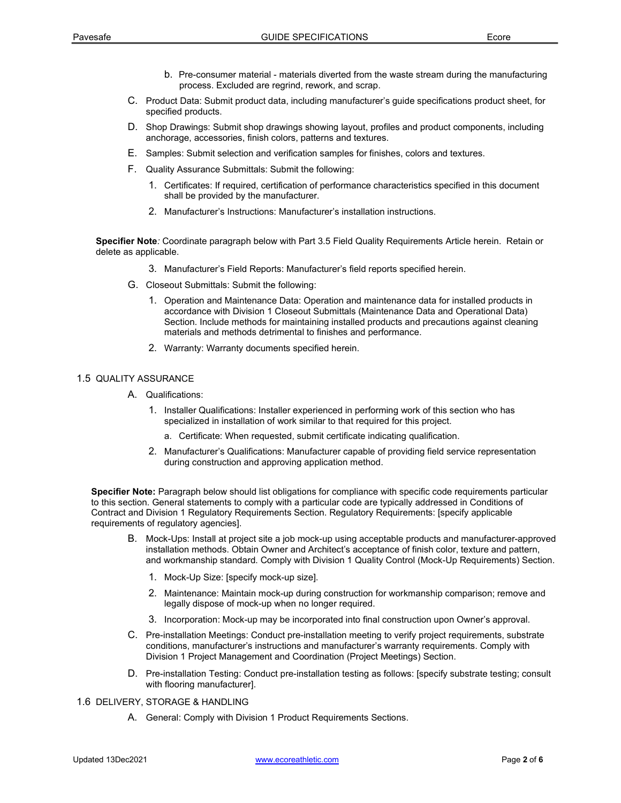- b. Pre-consumer material materials diverted from the waste stream during the manufacturing process. Excluded are regrind, rework, and scrap.
- C. Product Data: Submit product data, including manufacturer's guide specifications product sheet, for specified products.
- D. Shop Drawings: Submit shop drawings showing layout, profiles and product components, including anchorage, accessories, finish colors, patterns and textures.
- E. Samples: Submit selection and verification samples for finishes, colors and textures.
- F. Quality Assurance Submittals: Submit the following:
	- 1. Certificates: If required, certification of performance characteristics specified in this document shall be provided by the manufacturer.
	- 2. Manufacturer's Instructions: Manufacturer's installation instructions.

Specifier Note: Coordinate paragraph below with Part 3.5 Field Quality Requirements Article herein. Retain or delete as applicable.

- 3. Manufacturer's Field Reports: Manufacturer's field reports specified herein.
- G. Closeout Submittals: Submit the following:
	- 1. Operation and Maintenance Data: Operation and maintenance data for installed products in accordance with Division 1 Closeout Submittals (Maintenance Data and Operational Data) Section. Include methods for maintaining installed products and precautions against cleaning materials and methods detrimental to finishes and performance.
	- 2. Warranty: Warranty documents specified herein.

#### 1.5 QUALITY ASSURANCE

- A. Qualifications:
	- 1. Installer Qualifications: Installer experienced in performing work of this section who has specialized in installation of work similar to that required for this project.
		- a. Certificate: When requested, submit certificate indicating qualification.
	- 2. Manufacturer's Qualifications: Manufacturer capable of providing field service representation during construction and approving application method.

Specifier Note: Paragraph below should list obligations for compliance with specific code requirements particular to this section. General statements to comply with a particular code are typically addressed in Conditions of Contract and Division 1 Regulatory Requirements Section. Regulatory Requirements: [specify applicable requirements of regulatory agencies].

- B. Mock-Ups: Install at project site a job mock-up using acceptable products and manufacturer-approved installation methods. Obtain Owner and Architect's acceptance of finish color, texture and pattern, and workmanship standard. Comply with Division 1 Quality Control (Mock-Up Requirements) Section.
	- 1. Mock-Up Size: [specify mock-up size].
	- 2. Maintenance: Maintain mock-up during construction for workmanship comparison; remove and legally dispose of mock-up when no longer required.
	- 3. Incorporation: Mock-up may be incorporated into final construction upon Owner's approval.
- C. Pre-installation Meetings: Conduct pre-installation meeting to verify project requirements, substrate conditions, manufacturer's instructions and manufacturer's warranty requirements. Comply with Division 1 Project Management and Coordination (Project Meetings) Section.
- D. Pre-installation Testing: Conduct pre-installation testing as follows: [specify substrate testing; consult with flooring manufacturer].
- 1.6 DELIVERY, STORAGE & HANDLING
	- A. General: Comply with Division 1 Product Requirements Sections.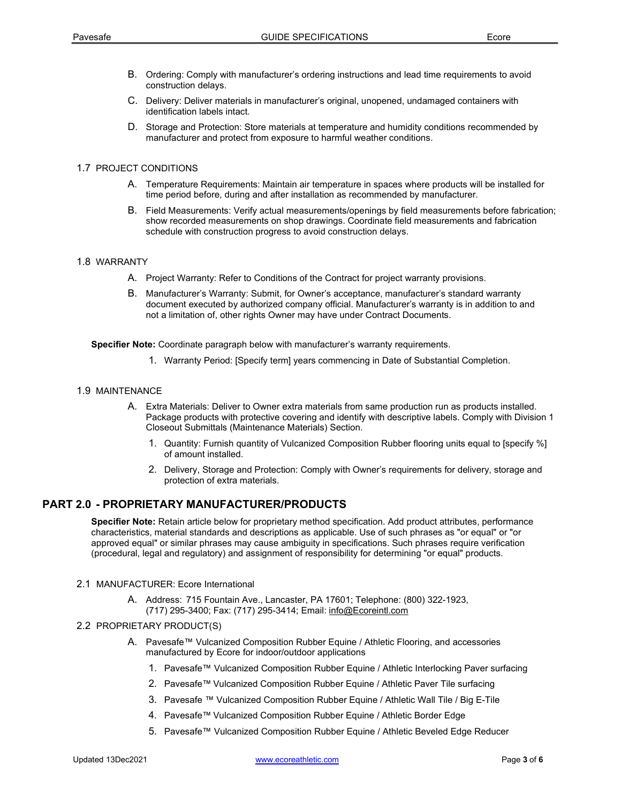- B. Ordering: Comply with manufacturer's ordering instructions and lead time requirements to avoid construction delays.
- C. Delivery: Deliver materials in manufacturer's original, unopened, undamaged containers with identification labels intact.
- D. Storage and Protection: Store materials at temperature and humidity conditions recommended by manufacturer and protect from exposure to harmful weather conditions.

## 1.7 PROJECT CONDITIONS

- A. Temperature Requirements: Maintain air temperature in spaces where products will be installed for time period before, during and after installation as recommended by manufacturer.
- B. Field Measurements: Verify actual measurements/openings by field measurements before fabrication; show recorded measurements on shop drawings. Coordinate field measurements and fabrication schedule with construction progress to avoid construction delays.

## 1.8 WARRANTY

- A. Project Warranty: Refer to Conditions of the Contract for project warranty provisions.
- B. Manufacturer's Warranty: Submit, for Owner's acceptance, manufacturer's standard warranty document executed by authorized company official. Manufacturer's warranty is in addition to and not a limitation of, other rights Owner may have under Contract Documents.

Specifier Note: Coordinate paragraph below with manufacturer's warranty requirements.

1. Warranty Period: [Specify term] years commencing in Date of Substantial Completion.

## 1.9 MAINTENANCE

- A. Extra Materials: Deliver to Owner extra materials from same production run as products installed. Package products with protective covering and identify with descriptive labels. Comply with Division 1 Closeout Submittals (Maintenance Materials) Section.
	- 1. Quantity: Furnish quantity of Vulcanized Composition Rubber flooring units equal to [specify %] of amount installed.
	- 2. Delivery, Storage and Protection: Comply with Owner's requirements for delivery, storage and protection of extra materials.

# PART 2.0 - PROPRIETARY MANUFACTURER/PRODUCTS

Specifier Note: Retain article below for proprietary method specification. Add product attributes, performance characteristics, material standards and descriptions as applicable. Use of such phrases as "or equal" or "or approved equal" or similar phrases may cause ambiguity in specifications. Such phrases require verification (procedural, legal and regulatory) and assignment of responsibility for determining "or equal" products.

## 2.1 MANUFACTURER: Ecore International

A. Address: 715 Fountain Ave., Lancaster, PA 17601; Telephone: (800) 322-1923, (717) 295-3400; Fax: (717) 295-3414; Email: info@Ecoreintl.com

## 2.2 PROPRIETARY PRODUCT(S)

- A. Pavesafe™ Vulcanized Composition Rubber Equine / Athletic Flooring, and accessories manufactured by Ecore for indoor/outdoor applications
	- 1. Pavesafe™ Vulcanized Composition Rubber Equine / Athletic Interlocking Paver surfacing
	- 2. Pavesafe™ Vulcanized Composition Rubber Equine / Athletic Paver Tile surfacing
	- 3. Pavesafe ™ Vulcanized Composition Rubber Equine / Athletic Wall Tile / Big E-Tile
	- 4. Pavesafe™ Vulcanized Composition Rubber Equine / Athletic Border Edge
	- 5. Pavesafe™ Vulcanized Composition Rubber Equine / Athletic Beveled Edge Reducer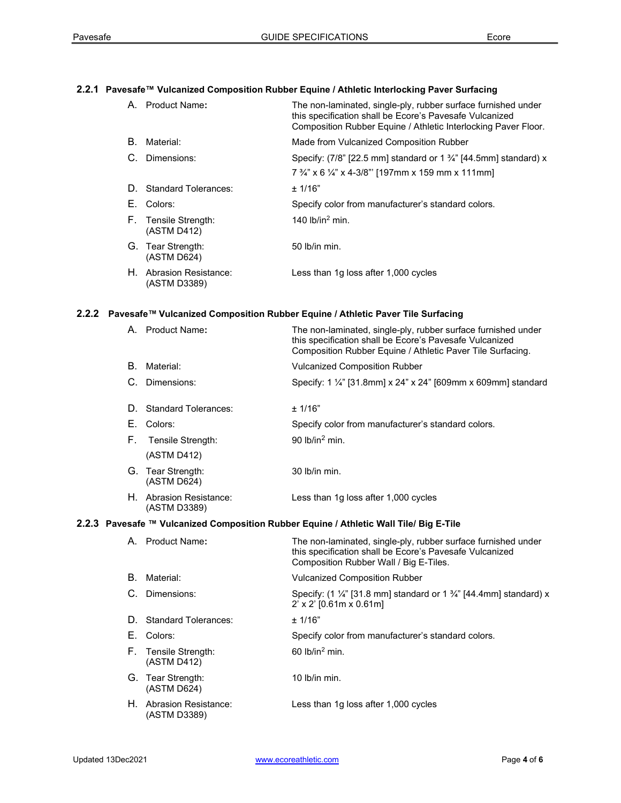# 2.2.1 Pavesafe™ Vulcanized Composition Rubber Equine / Athletic Interlocking Paver Surfacing

|    | A. Product Name:                        | The non-laminated, single-ply, rubber surface furnished under<br>this specification shall be Ecore's Pavesafe Vulcanized<br>Composition Rubber Equine / Athletic Interlocking Paver Floor. |
|----|-----------------------------------------|--------------------------------------------------------------------------------------------------------------------------------------------------------------------------------------------|
| В. | Material:                               | Made from Vulcanized Composition Rubber                                                                                                                                                    |
|    | C. Dimensions:                          | Specify: $(7/8)$ [22.5 mm] standard or 1 $\frac{3}{4}$ " [44.5mm] standard) x                                                                                                              |
|    |                                         | 7 3/4" x 6 1/4" x 4-3/8" [197mm x 159 mm x 111mm]                                                                                                                                          |
|    | D. Standard Tolerances:                 | ± 1/16"                                                                                                                                                                                    |
|    | E. Colors:                              | Specify color from manufacturer's standard colors.                                                                                                                                         |
|    | F. Tensile Strength:<br>(ASTM D412)     | 140 $lb/in^2$ min.                                                                                                                                                                         |
|    | G. Tear Strength:<br>(ASTM D624)        | $50$ lb/in min.                                                                                                                                                                            |
|    | H. Abrasion Resistance:<br>(ASTM D3389) | Less than 1g loss after 1,000 cycles                                                                                                                                                       |

# 2.2.2 Pavesafe™ Vulcanized Composition Rubber Equine / Athletic Paver Tile Surfacing

|                                                                                        | A. Product Name:                        | The non-laminated, single-ply, rubber surface furnished under<br>this specification shall be Ecore's Pavesafe Vulcanized<br>Composition Rubber Equine / Athletic Paver Tile Surfacing. |  |  |
|----------------------------------------------------------------------------------------|-----------------------------------------|----------------------------------------------------------------------------------------------------------------------------------------------------------------------------------------|--|--|
| В.                                                                                     | Material:                               | <b>Vulcanized Composition Rubber</b>                                                                                                                                                   |  |  |
| C.                                                                                     | Dimensions:                             | Specify: 1 1/4" [31.8mm] x 24" x 24" [609mm x 609mm] standard                                                                                                                          |  |  |
| D.                                                                                     | <b>Standard Tolerances:</b>             | ± 1/16"                                                                                                                                                                                |  |  |
|                                                                                        | E. Colors:                              | Specify color from manufacturer's standard colors.                                                                                                                                     |  |  |
| Е.                                                                                     | Tensile Strength:<br>(ASTM D412)        | 90 $lb/in^2$ min.                                                                                                                                                                      |  |  |
|                                                                                        | G. Tear Strength:<br>(ASTM D624)        | 30 lb/in min.                                                                                                                                                                          |  |  |
|                                                                                        | H. Abrasion Resistance:<br>(ASTM D3389) | Less than 1g loss after 1,000 cycles                                                                                                                                                   |  |  |
| 2.2.3 Pavesafe ™ Vulcanized Composition Rubber Equine / Athletic Wall Tile/ Big E-Tile |                                         |                                                                                                                                                                                        |  |  |
|                                                                                        | A. Product Name:                        | The non-laminated, single-ply, rubber surface furnished under<br>this specification shall be Ecore's Pavesafe Vulcanized<br>Composition Rubber Wall / Big E-Tiles.                     |  |  |
| В.                                                                                     | Material:                               | <b>Vulcanized Composition Rubber</b>                                                                                                                                                   |  |  |
|                                                                                        | C. Dimensions:                          | Specify: $(1\frac{1}{4})$ [31.8 mm] standard or $1\frac{3}{4}$ [44.4mm] standard) x<br>$2'$ x $2'$ [0.61m x 0.61m]                                                                     |  |  |
|                                                                                        | D. Standard Tolerances:                 | ± 1/16"                                                                                                                                                                                |  |  |
|                                                                                        | E. Colors:                              | Specify color from manufacturer's standard colors.                                                                                                                                     |  |  |
|                                                                                        | F. Tensile Strength:<br>(ASTM D412)     | 60 lb/in $^2$ min.                                                                                                                                                                     |  |  |
|                                                                                        | G. Tear Strength:<br>(ASTM D624)        | 10 lb/in min.                                                                                                                                                                          |  |  |
|                                                                                        | H. Abrasion Resistance:<br>(ASTM D3389) | Less than 1g loss after 1,000 cycles                                                                                                                                                   |  |  |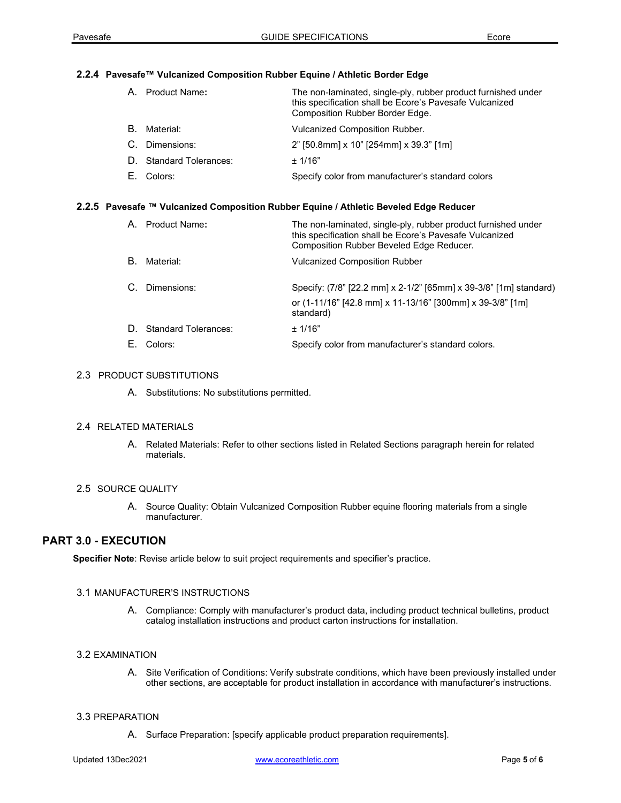#### 2.2.4 Pavesafe™ Vulcanized Composition Rubber Equine / Athletic Border Edge

| A. Product Name:        | The non-laminated, single-ply, rubber product furnished under<br>this specification shall be Ecore's Pavesafe Vulcanized<br>Composition Rubber Border Edge. |
|-------------------------|-------------------------------------------------------------------------------------------------------------------------------------------------------------|
| B. Material:            | Vulcanized Composition Rubber.                                                                                                                              |
| C. Dimensions:          | 2" [50.8mm] x 10" [254mm] x 39.3" [1m]                                                                                                                      |
| D. Standard Tolerances: | ± 1/16"                                                                                                                                                     |
| E. Colors:              | Specify color from manufacturer's standard colors                                                                                                           |

## 2.2.5 Pavesafe ™ Vulcanized Composition Rubber Equine / Athletic Beveled Edge Reducer

| A. Product Name:                      | The non-laminated, single-ply, rubber product furnished under<br>this specification shall be Ecore's Pavesafe Vulcanized<br>Composition Rubber Beveled Edge Reducer. |
|---------------------------------------|----------------------------------------------------------------------------------------------------------------------------------------------------------------------|
| B. Material:                          | <b>Vulcanized Composition Rubber</b>                                                                                                                                 |
| C. Dimensions:                        | Specify: (7/8" [22.2 mm] x 2-1/2" [65mm] x 39-3/8" [1m] standard)<br>or (1-11/16" [42.8 mm] x 11-13/16" [300mm] x 39-3/8" [1m]<br>standard)                          |
| D. Standard Tolerances:<br>E. Colors: | $+1/16"$<br>Specify color from manufacturer's standard colors.                                                                                                       |
|                                       |                                                                                                                                                                      |

## 2.3 PRODUCT SUBSTITUTIONS

A. Substitutions: No substitutions permitted.

# 2.4 RELATED MATERIALS

A. Related Materials: Refer to other sections listed in Related Sections paragraph herein for related materials.

#### 2.5 SOURCE QUALITY

A. Source Quality: Obtain Vulcanized Composition Rubber equine flooring materials from a single manufacturer.

# PART 3.0 - EXECUTION

Specifier Note: Revise article below to suit project requirements and specifier's practice.

#### 3.1 MANUFACTURER'S INSTRUCTIONS

A. Compliance: Comply with manufacturer's product data, including product technical bulletins, product catalog installation instructions and product carton instructions for installation.

#### 3.2EXAMINATION

A. Site Verification of Conditions: Verify substrate conditions, which have been previously installed under other sections, are acceptable for product installation in accordance with manufacturer's instructions.

#### 3.3 PREPARATION

A. Surface Preparation: [specify applicable product preparation requirements].